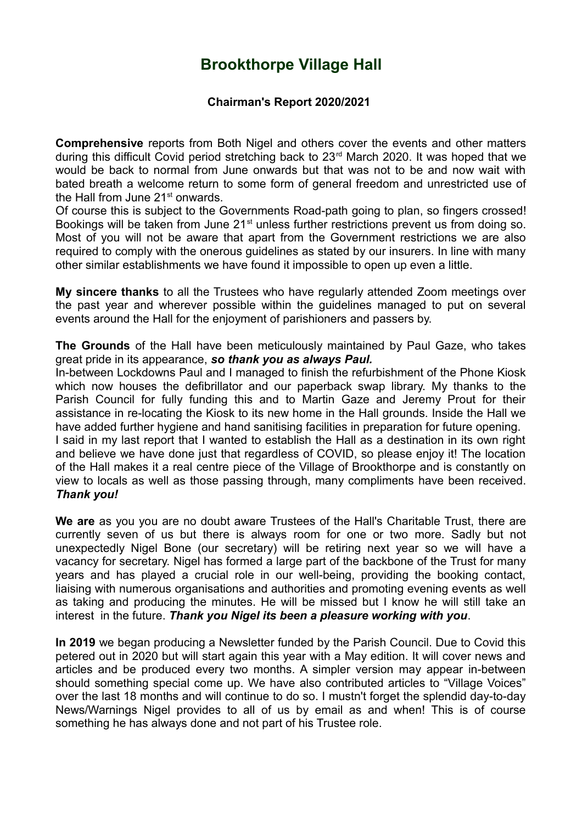## **Brookthorpe Village Hall**

## **Chairman's Report 2020/2021**

**Comprehensive** reports from Both Nigel and others cover the events and other matters during this difficult Covid period stretching back to 23<sup>rd</sup> March 2020. It was hoped that we would be back to normal from June onwards but that was not to be and now wait with bated breath a welcome return to some form of general freedom and unrestricted use of the Hall from June 21<sup>st</sup> onwards.

Of course this is subject to the Governments Road-path going to plan, so fingers crossed! Bookings will be taken from June 21<sup>st</sup> unless further restrictions prevent us from doing so. Most of you will not be aware that apart from the Government restrictions we are also required to comply with the onerous guidelines as stated by our insurers. In line with many other similar establishments we have found it impossible to open up even a little.

**My sincere thanks** to all the Trustees who have regularly attended Zoom meetings over the past year and wherever possible within the guidelines managed to put on several events around the Hall for the enjoyment of parishioners and passers by.

**The Grounds** of the Hall have been meticulously maintained by Paul Gaze, who takes great pride in its appearance, *so thank you as always Paul.*

In-between Lockdowns Paul and I managed to finish the refurbishment of the Phone Kiosk which now houses the defibrillator and our paperback swap library. My thanks to the Parish Council for fully funding this and to Martin Gaze and Jeremy Prout for their assistance in re-locating the Kiosk to its new home in the Hall grounds. Inside the Hall we have added further hygiene and hand sanitising facilities in preparation for future opening. I said in my last report that I wanted to establish the Hall as a destination in its own right and believe we have done just that regardless of COVID, so please enjoy it! The location of the Hall makes it a real centre piece of the Village of Brookthorpe and is constantly on view to locals as well as those passing through, many compliments have been received.

## *Thank you!*

**We are** as you you are no doubt aware Trustees of the Hall's Charitable Trust, there are currently seven of us but there is always room for one or two more. Sadly but not unexpectedly Nigel Bone (our secretary) will be retiring next year so we will have a vacancy for secretary. Nigel has formed a large part of the backbone of the Trust for many years and has played a crucial role in our well-being, providing the booking contact, liaising with numerous organisations and authorities and promoting evening events as well as taking and producing the minutes. He will be missed but I know he will still take an interest in the future. *Thank you Nigel its been a pleasure working with you*.

**In 2019** we began producing a Newsletter funded by the Parish Council. Due to Covid this petered out in 2020 but will start again this year with a May edition. It will cover news and articles and be produced every two months. A simpler version may appear in-between should something special come up. We have also contributed articles to "Village Voices" over the last 18 months and will continue to do so. I mustn't forget the splendid day-to-day News/Warnings Nigel provides to all of us by email as and when! This is of course something he has always done and not part of his Trustee role.